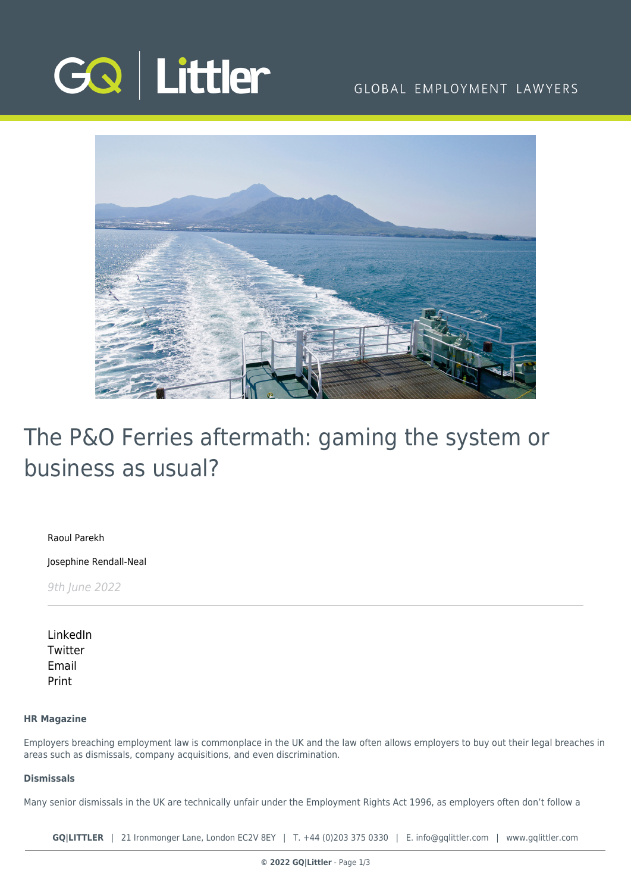

## GLOBAL EMPLOYMENT LAWYERS



# The P&O Ferries aftermath: gaming the system or business as usual?

[Raoul Parekh](https://www.gqlittler.com/about-us/the-team/raoul-parekh)

[Josephine Rendall-Neal](https://www.gqlittler.com/about-us/the-team/josephine-rendall-neal)

9th June 2022

[LinkedIn](https://www.linkedin.com/shareArticle?mini=true&url=https%3A%2F%2Fwww.gqlittler.com%2Fresources%2Fnews-and-views%2Fthe-p-and-o-ferries-aftermath-gaming-the-system-or-business-as-usual.htm%3Funlock%3Dtrue&title=The+P%26O+Ferries+aftermath%3A+gaming+the+system+or+business+as+usual%3F&summary=&source=GQ+%7C+Littler) **[Twitter](https://twitter.com/share?text=The+P%26O+Ferries+aftermath%3A+gaming+the+system+or+business+as+usual%3F&url=https%3A%2F%2Fwww.gqlittler.com%2Fresources%2Fnews-and-views%2Fthe-p-and-o-ferries-aftermath-gaming-the-system-or-business-as-usual.htm&hashtags=)** [Email](mailto:?subject=The P&O Ferries aftermath: gaming the system or business as usual?&body=I) [Print](https://www.bg-pdf.co.uk/_GQ/page.php?M=6148523063484d364c793933643363755a33467361585230624756794c6d4e76625339795a584e7664584a6a5a584d76626d563363793168626d5174646d6c6c64334d766447686c4c5841745957356b4c5738745a6d5679636d6c6c637931685a6e526c636d3168644767745a3246746157356e4c58526f5a53317a65584e305a57307462334974596e567a6157356c63334d7459584d7464584e3159577775614852744930416a5647686c4946416d547942475a584a796157567a4947466d644756796257463061446f675a3246746157356e4948526f5a53427a65584e305a57306762334967596e567a6157356c63334d6759584d6764584e315957772f4930416a6447686c4c5841745957356b4c5738745a6d5679636d6c6c637931685a6e526c636d3168644767745a3246746157356e4c58526f5a53317a65584e305a57307462334974596e567a6157356c63334d7459584d7464584e315957773d)

### **HR Magazine**

Employers breaching employment law is commonplace in the UK and the law often allows employers to buy out their legal breaches in areas such as dismissals, company acquisitions, and even discrimination.

#### **Dismissals**

Many senior dismissals in the UK are technically unfair under the Employment Rights Act 1996, as employers often don't follow a

**GQ|LITTLER** | 21 Ironmonger Lane, London EC2V 8EY | T. [+44 \(0\)203 375 0330](https://www.bg-pdf.co.uk/_GQ/tel:+442033750330) | E. [info@gqlittler.com](mailto:info@gqlittler.com) | [www.gqlittler.com](https://www.gqlittler.com)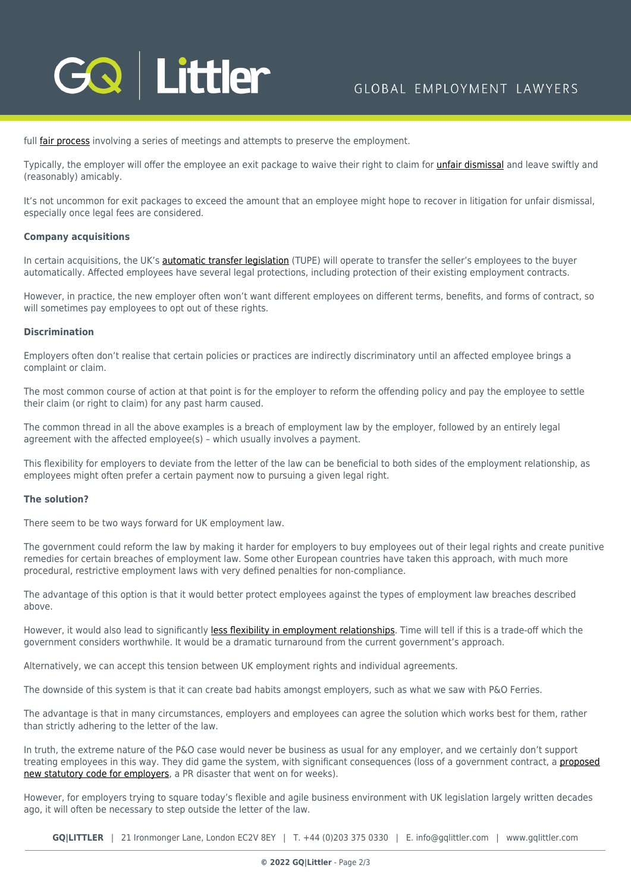

full [fair process](https://www.hrmagazine.co.uk/articles/handling-redundancies-with-sensitivity/) involving a series of meetings and attempts to preserve the employment.

Typically, the employer will offer the employee an exit package to waive their right to claim for *unfair dismissal* and leave swiftly and (reasonably) amicably.

It's not uncommon for exit packages to exceed the amount that an employee might hope to recover in litigation for unfair dismissal, especially once legal fees are considered.

#### **Company acquisitions**

In certain acquisitions, the UK's **automatic transfer legislation** (TUPE) will operate to transfer the seller's employees to the buyer automatically. Affected employees have several legal protections, including protection of their existing employment contracts.

However, in practice, the new employer often won't want different employees on different terms, benefits, and forms of contract, so will sometimes pay employees to opt out of these rights.

#### **Discrimination**

Employers often don't realise that certain policies or practices are indirectly discriminatory until an affected employee brings a complaint or claim.

The most common course of action at that point is for the employer to reform the offending policy and pay the employee to settle their claim (or right to claim) for any past harm caused.

The common thread in all the above examples is a breach of employment law by the employer, followed by an entirely legal agreement with the affected employee(s) – which usually involves a payment.

This flexibility for employers to deviate from the letter of the law can be beneficial to both sides of the employment relationship, as employees might often prefer a certain payment now to pursuing a given legal right.

#### **The solution?**

There seem to be two ways forward for UK employment law.

The government could reform the law by making it harder for employers to buy employees out of their legal rights and create punitive remedies for certain breaches of employment law. Some other European countries have taken this approach, with much more procedural, restrictive employment laws with very defined penalties for non-compliance.

The advantage of this option is that it would better protect employees against the types of employment law breaches described above.

However, it would also lead to significantly [less flexibility in employment relationships.](https://www.hrmagazine.co.uk/articles/are-we-turning-back-the-clock-on-workers-rights-in-the-uk/) Time will tell if this is a trade-off which the government considers worthwhile. It would be a dramatic turnaround from the current government's approach.

Alternatively, we can accept this tension between UK employment rights and individual agreements.

The downside of this system is that it can create bad habits amongst employers, such as what we saw with P&O Ferries.

The advantage is that in many circumstances, employers and employees can agree the solution which works best for them, rather than strictly adhering to the letter of the law.

In truth, the extreme nature of the P&O case would never be business as usual for any employer, and we certainly don't support treating employees in this way. They did game the system, with significant consequences (loss of a government contract, a [proposed](https://www.hrmagazine.co.uk/articles/p-o-scandal-adds-new-fire-to-employment-bill-demand/) [new statutory code for employers,](https://www.hrmagazine.co.uk/articles/p-o-scandal-adds-new-fire-to-employment-bill-demand/) a PR disaster that went on for weeks).

However, for employers trying to square today's flexible and agile business environment with UK legislation largely written decades ago, it will often be necessary to step outside the letter of the law.

**GQ|LITTLER** | 21 Ironmonger Lane, London EC2V 8EY | T. [+44 \(0\)203 375 0330](https://www.bg-pdf.co.uk/_GQ/tel:+442033750330) | E. [info@gqlittler.com](mailto:info@gqlittler.com) | [www.gqlittler.com](https://www.gqlittler.com)